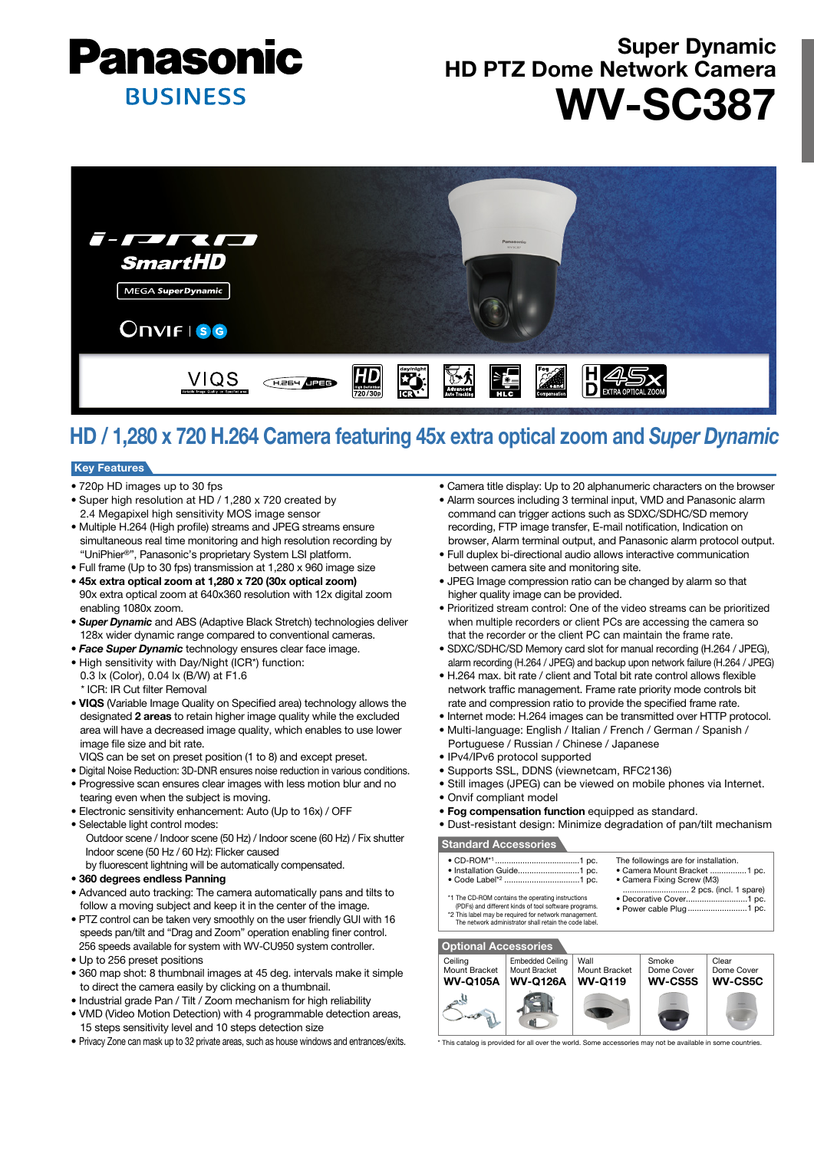

# Super Dynamic HD PTZ Dome Network Camera WV-SC387



# HD / 1,280 x 720 H.264 Camera featuring 45x extra optical zoom and *Super Dynamic*

## Key Features

- 720p HD images up to 30 fps
- Super high resolution at HD / 1,280 x 720 created by 2.4 Megapixel high sensitivity MOS image sensor
- Multiple H.264 (High profile) streams and JPEG streams ensure simultaneous real time monitoring and high resolution recording by "UniPhier®", Panasonic's proprietary System LSI platform.
- Full frame (Up to 30 fps) transmission at 1,280 x 960 image size • 45x extra optical zoom at 1,280 x 720 (30x optical zoom) 90x extra optical zoom at 640x360 resolution with 12x digital zoom enabling 1080x zoom.
- *Super Dynamic* and ABS (Adaptive Black Stretch) technologies deliver 128x wider dynamic range compared to conventional cameras.
- *Face Super Dynamic* technology ensures clear face image.
- High sensitivity with Day/Night (ICR\*) function:
- 0.3 lx (Color), 0.04 lx (B/W) at F1.6 \* ICR: IR Cut filter Removal
- VIQS (Variable Image Quality on Specified area) technology allows the designated 2 areas to retain higher image quality while the excluded area will have a decreased image quality, which enables to use lower image file size and bit rate.
- VIQS can be set on preset position (1 to 8) and except preset.
- Digital Noise Reduction: 3D-DNR ensures noise reduction in various conditions.
- Progressive scan ensures clear images with less motion blur and no tearing even when the subject is moving.
- Electronic sensitivity enhancement: Auto (Up to 16x) / OFF
- Selectable light control modes: Outdoor scene / Indoor scene (50 Hz) / Indoor scene (60 Hz) / Fix shutter Indoor scene (50 Hz / 60 Hz): Flicker caused
- by fluorescent lightning will be automatically compensated.
- 360 degrees endless Panning
- Advanced auto tracking: The camera automatically pans and tilts to follow a moving subject and keep it in the center of the image.
- PTZ control can be taken very smoothly on the user friendly GUI with 16 speeds pan/tilt and "Drag and Zoom" operation enabling finer control. 256 speeds available for system with WV-CU950 system controller.
- Up to 256 preset positions
- 360 map shot: 8 thumbnail images at 45 deg. intervals make it simple to direct the camera easily by clicking on a thumbnail.
- Industrial grade Pan / Tilt / Zoom mechanism for high reliability
- VMD (Video Motion Detection) with 4 programmable detection areas, 15 steps sensitivity level and 10 steps detection size
- Privacy Zone can mask up to 32 private areas, such as house windows and entrances/exits.
- Camera title display: Up to 20 alphanumeric characters on the browser
- Alarm sources including 3 terminal input, VMD and Panasonic alarm command can trigger actions such as SDXC/SDHC/SD memory recording, FTP image transfer, E-mail notification, Indication on browser, Alarm terminal output, and Panasonic alarm protocol output.
- Full duplex bi-directional audio allows interactive communication between camera site and monitoring site.
- JPEG Image compression ratio can be changed by alarm so that higher quality image can be provided.
- Prioritized stream control: One of the video streams can be prioritized when multiple recorders or client PCs are accessing the camera so that the recorder or the client PC can maintain the frame rate.
- SDXC/SDHC/SD Memory card slot for manual recording (H.264 / JPEG), alarm recording (H.264 / JPEG) and backup upon network failure (H.264 / JPEG)
- H.264 max. bit rate / client and Total bit rate control allows flexible network traffic management. Frame rate priority mode controls bit rate and compression ratio to provide the specified frame rate.
- Internet mode: H.264 images can be transmitted over HTTP protocol.
- Multi-language: English / Italian / French / German / Spanish /
- Portuguese / Russian / Chinese / Japanese
- IPv4/IPv6 protocol supported
- Supports SSL, DDNS (viewnetcam, RFC2136)
- Still images (JPEG) can be viewed on mobile phones via Internet.
- Onvif compliant model
- Fog compensation function equipped as standard.
- Dust-resistant design: Minimize degradation of pan/tilt mechanism

# Standard Accessories

 $\bullet$  Code Label\*2

- CD-ROM\*1 .....................................1 pc. The followings are for installation. • Camera Mount Bracket ................ 1 pc.
- Installation Guide ...........................1 pc. • Camera Fixing Screw (M3) .............<br>... 2 pcs. (incl. 1 spare)
- \*1 The CD-ROM contains the operating instructions (PDFs) and different kinds of tool software programs. • Decorative Cover...........................1 pc. • Power cable Plug
- \*2 This label may be required for network management. The network administrator shall retain the code label.





This catalog is provided for all over the world. Some accessories may not be available in some countries.